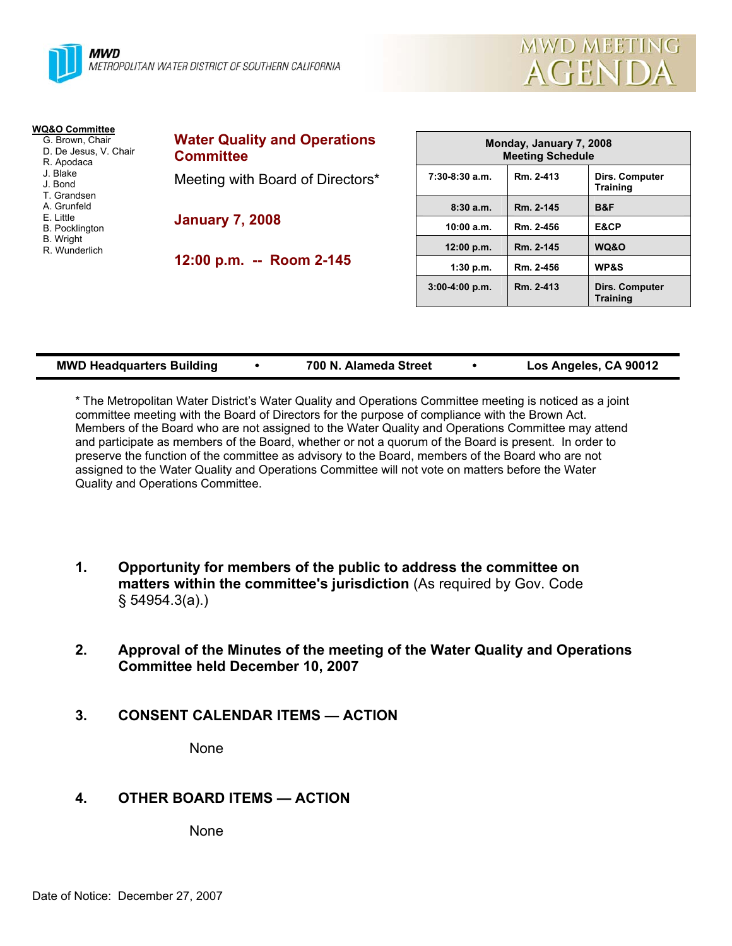



| WQ&O Committee                           |                                     |  |
|------------------------------------------|-------------------------------------|--|
| G. Brown, Chair<br>D. De Jesus, V. Chair | <b>Water Quality and Operations</b> |  |
| R. Apodaca                               | <b>Committee</b>                    |  |
| J. Blake<br>J. Bond                      | Meeting with Board of Directors*    |  |
| T. Grandsen<br>A. Grunfeld               |                                     |  |
| E. Little                                | <b>January 7, 2008</b>              |  |
| <b>B.</b> Pocklington                    |                                     |  |
| <b>B.</b> Wright<br>R. Wunderlich        |                                     |  |
|                                          | 12:00 p.m. -- Room 2-145            |  |
|                                          |                                     |  |

| Monday, January 7, 2008<br><b>Meeting Schedule</b> |           |                                   |  |  |  |
|----------------------------------------------------|-----------|-----------------------------------|--|--|--|
| $7:30-8:30$ a.m.                                   | Rm. 2-413 | Dirs. Computer<br><b>Training</b> |  |  |  |
| 8:30a.m.                                           | Rm. 2-145 | B&F                               |  |  |  |
| 10:00 a.m.                                         | Rm. 2-456 | E&CP                              |  |  |  |
| 12:00 p.m.                                         | Rm. 2-145 | WQ&O                              |  |  |  |
| 1:30 p.m.                                          | Rm. 2-456 | <b>WP&amp;S</b>                   |  |  |  |
| $3:00-4:00 p.m.$                                   | Rm. 2-413 | Dirs. Computer<br><b>Training</b> |  |  |  |

| <b>MWD Headquarters Building</b> |  | 700 N. Alameda Street |  | Los Angeles, CA 90012 |
|----------------------------------|--|-----------------------|--|-----------------------|
|----------------------------------|--|-----------------------|--|-----------------------|

\* The Metropolitan Water District's Water Quality and Operations Committee meeting is noticed as a joint committee meeting with the Board of Directors for the purpose of compliance with the Brown Act. Members of the Board who are not assigned to the Water Quality and Operations Committee may attend and participate as members of the Board, whether or not a quorum of the Board is present. In order to preserve the function of the committee as advisory to the Board, members of the Board who are not assigned to the Water Quality and Operations Committee will not vote on matters before the Water Quality and Operations Committee.

- **1. Opportunity for members of the public to address the committee on matters within the committee's jurisdiction** (As required by Gov. Code § 54954.3(a).)
- **2. Approval of the Minutes of the meeting of the Water Quality and Operations Committee held December 10, 2007**
- **3. CONSENT CALENDAR ITEMS ACTION**

None

# **4. OTHER BOARD ITEMS — ACTION**

None